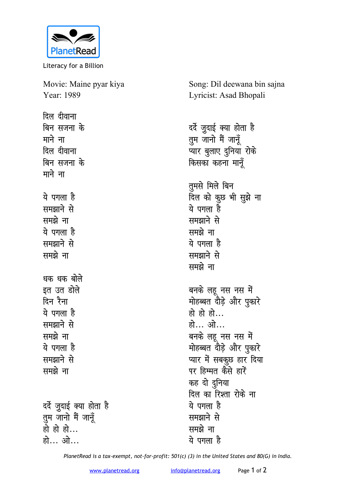

Literacy for a Billion

Movie: Maine pyar kiya Year: 1989

**दिल दीवाना** <u>बिन सजना</u> के माने ना <u>दिल दीवाना</u> <u>बिन सजना के</u> माने ना ये पगला है **led**<br>Reports the **led**<br>Report ये पगला है **समझाने** से समझे ना **धक धक बोले** इत उत डोले <u>दिन रैना</u> <u>ये पगला है</u> **led**<br>Reports the समझे ना ये पगला है **समझाने** से समझे ना दर्दे जुदाई क्या होता है तुम जानो मैं जानूँ <u>हो हो हो...</u> हो… ओ…

Song: Dil deewana bin sajna Lyricist: Asad Bhopali

दर्दे जुदाई क्या होता है <u>तू</u>म जानो मैं जानूँ प्यार बुलाए दुनिया रोके **किसका कहना मानूँ** तुमसे मिले बिन <u>दिल को कु</u>छ भी सुझे ना ये पगला है समझाने से समझे ना ये पगला ह<del>ै</del> समझाने से समझे ना बनके लहू नस नस में मोहब्बत दोड़े और पुकारे हो हो हो... हो... ओ... बनके लहू नस नस में मोहब्बत दोड़े और पुकारे प्यार में सबकुछ हार दिया पर हिम्मत कैसे हारें कह दो <u>द</u>ुनिया <u>दिल का रिश्ता रोके ना</u> ये पगला **हे** समझाने से समझे ना ये पगला ह<del>ै</del>

*PlanetRead is a tax-exempt, not-for-profit: 501(c) (3) in the United States and 80(G) in India.*